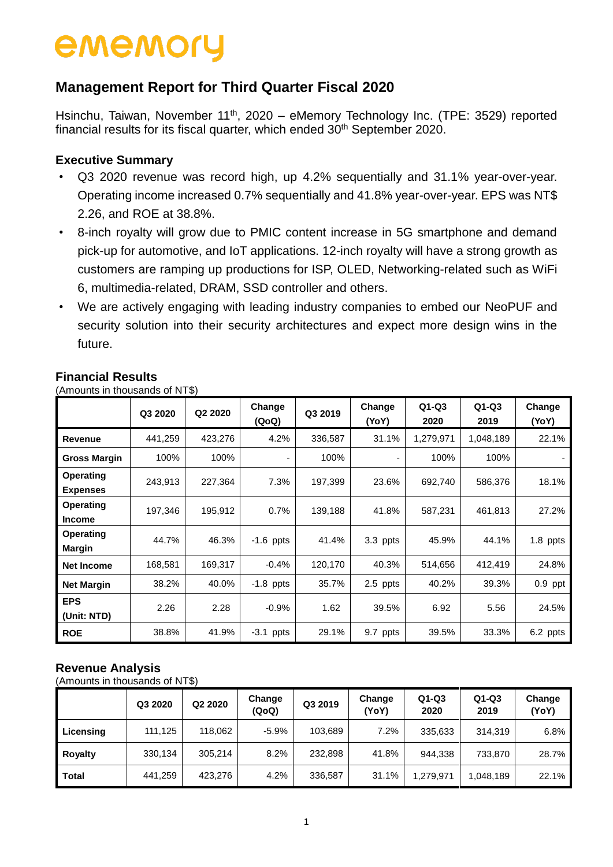## **Management Report for Third Quarter Fiscal 2020**

Hsinchu, Taiwan, November 11<sup>th</sup>, 2020 - eMemory Technology Inc. (TPE: 3529) reported financial results for its fiscal quarter, which ended 30<sup>th</sup> September 2020.

#### **Executive Summary**

- Q3 2020 revenue was record high, up 4.2% sequentially and 31.1% year-over-year. Operating income increased 0.7% sequentially and 41.8% year-over-year. EPS was NT\$ 2.26, and ROE at 38.8%.
- 8-inch royalty will grow due to PMIC content increase in 5G smartphone and demand pick-up for automotive, and IoT applications. 12-inch royalty will have a strong growth as customers are ramping up productions for ISP, OLED, Networking-related such as WiFi 6, multimedia-related, DRAM, SSD controller and others.
- We are actively engaging with leading industry companies to embed our NeoPUF and security solution into their security architectures and expect more design wins in the future.

|                              | Q3 2020 | Q2 2020 | Change<br>(QoQ) | $Q1-Q3$<br>Change<br>Q3 2019<br>(YoY)<br>2020 |          |           | $Q1-Q3$<br>2019 | Change<br>(YoY) |
|------------------------------|---------|---------|-----------------|-----------------------------------------------|----------|-----------|-----------------|-----------------|
| Revenue                      | 441,259 | 423,276 | 4.2%            | 336,587                                       | 31.1%    | 1,279,971 | 1,048,189       | 22.1%           |
| <b>Gross Margin</b>          | 100%    | 100%    |                 | 100%                                          |          | 100%      | 100%            |                 |
| Operating<br><b>Expenses</b> | 243,913 | 227,364 | 7.3%            | 197,399                                       | 23.6%    | 692,740   | 586,376         | 18.1%           |
| Operating<br><b>Income</b>   | 197,346 | 195,912 | 0.7%            | 139,188                                       | 41.8%    | 587,231   | 461,813         | 27.2%           |
| Operating<br>Margin          | 44.7%   | 46.3%   | $-1.6$ ppts     | 41.4%                                         | 3.3 ppts | 45.9%     | 44.1%           | 1.8 ppts        |
| <b>Net Income</b>            | 168,581 | 169,317 | $-0.4%$         | 120,170                                       | 40.3%    | 514,656   | 412,419         | 24.8%           |
| <b>Net Margin</b>            | 38.2%   | 40.0%   | $-1.8$ ppts     | 35.7%                                         | 2.5 ppts | 40.2%     | 39.3%           | $0.9$ ppt       |
| <b>EPS</b><br>(Unit: NTD)    | 2.26    | 2.28    | $-0.9%$         | 1.62                                          | 39.5%    | 6.92      | 5.56            | 24.5%           |
| <b>ROE</b>                   | 38.8%   | 41.9%   | $-3.1$ ppts     | 29.1%                                         | 9.7 ppts | 39.5%     | 33.3%           | 6.2 ppts        |

### **Financial Results**

(Amounts in thousands of NT\$)

### **Revenue Analysis**

(Amounts in thousands of NT\$)

|                | Q3 2020 | Q2 2020 | Change<br>(QoQ) | Q3 2019 | Change<br>(YoY) | $Q1-Q3$<br>2020 | $Q1-Q3$<br>2019 | Change<br>(YoY) |
|----------------|---------|---------|-----------------|---------|-----------------|-----------------|-----------------|-----------------|
| Licensing      | 111,125 | 118,062 | $-5.9%$         | 103,689 | 7.2%            | 335,633         | 314,319         | 6.8%            |
| <b>Royalty</b> | 330.134 | 305,214 | 8.2%            | 232,898 | 41.8%           | 944,338         | 733,870         | 28.7%           |
| <b>Total</b>   | 441,259 | 423.276 | 4.2%            | 336,587 | 31.1%           | 1,279,971       | 1,048,189       | 22.1%           |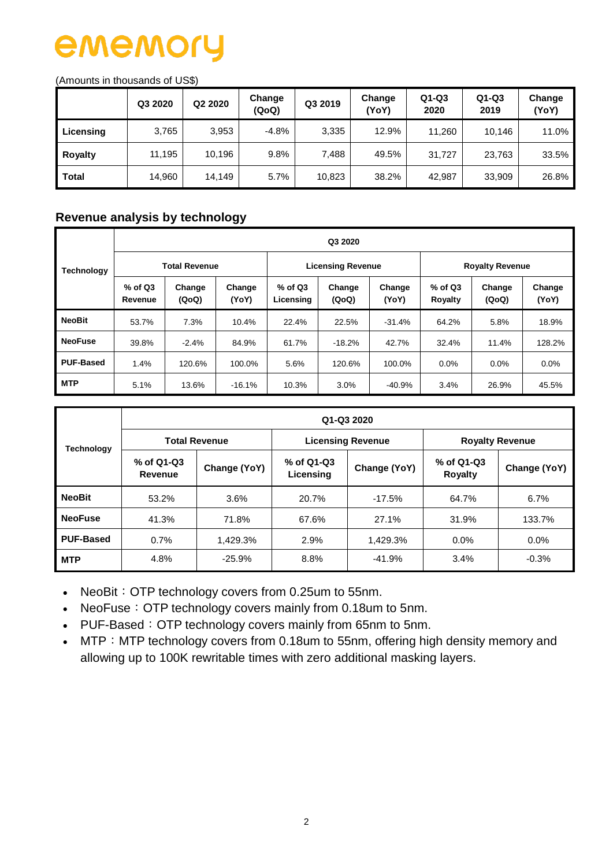#### (Amounts in thousands of US\$)

|              | Q3 2020 | Q2 2020 | Change<br>(QoQ) | Q3 2019 | Change<br>(YoY) | $Q1-Q3$<br>2020 | $Q1-Q3$<br>2019 | Change<br>(YoY) |
|--------------|---------|---------|-----------------|---------|-----------------|-----------------|-----------------|-----------------|
| Licensing    | 3,765   | 3,953   | $-4.8%$         | 3,335   | 12.9%           | 11,260          | 10.146          | 11.0%           |
| Royalty      | 11,195  | 10,196  | 9.8%            | 7,488   | 49.5%           | 31,727          | 23,763          | 33.5%           |
| <b>Total</b> | 14,960  | 14,149  | 5.7%            | 10,823  | 38.2%           | 42,987          | 33,909          | 26.8%           |

#### **Revenue analysis by technology**

|                   |                    | Q3 2020              |                 |                      |                          |                 |                        |                 |                 |  |  |  |  |  |
|-------------------|--------------------|----------------------|-----------------|----------------------|--------------------------|-----------------|------------------------|-----------------|-----------------|--|--|--|--|--|
| <b>Technology</b> |                    | <b>Total Revenue</b> |                 |                      | <b>Licensing Revenue</b> |                 | <b>Royalty Revenue</b> |                 |                 |  |  |  |  |  |
|                   | % of Q3<br>Revenue | Change<br>(QoQ)      | Change<br>(YoY) | % of Q3<br>Licensina | Change<br>(QoQ)          | Change<br>(YoY) | $%$ of Q3<br>Royalty   | Change<br>(QoQ) | Change<br>(YoY) |  |  |  |  |  |
| <b>NeoBit</b>     | 53.7%              | 7.3%                 | 10.4%           | 22.4%                | 22.5%                    | $-31.4%$        | 64.2%                  | 5.8%            | 18.9%           |  |  |  |  |  |
| <b>NeoFuse</b>    | 39.8%              | $-2.4%$              | 84.9%           | 61.7%                | $-18.2%$                 | 42.7%           | 32.4%                  | 11.4%           | 128.2%          |  |  |  |  |  |
| <b>PUF-Based</b>  | 1.4%               | 120.6%               | 100.0%          | 5.6%                 | 120.6%                   | 100.0%          | $0.0\%$                | $0.0\%$         | $0.0\%$         |  |  |  |  |  |
| <b>MTP</b>        | 5.1%               | 13.6%                | $-16.1%$        | 10.3%                | 3.0%                     | -40.9%          | 3.4%                   | 26.9%           | 45.5%           |  |  |  |  |  |

|                   | Q1-Q3 2020            |                      |                         |                          |                        |              |  |  |  |  |  |  |
|-------------------|-----------------------|----------------------|-------------------------|--------------------------|------------------------|--------------|--|--|--|--|--|--|
| <b>Technology</b> |                       | <b>Total Revenue</b> |                         | <b>Licensing Revenue</b> | <b>Royalty Revenue</b> |              |  |  |  |  |  |  |
|                   | % of Q1-Q3<br>Revenue | Change (YoY)         | % of Q1-Q3<br>Licensing | Change (YoY)             | % of Q1-Q3<br>Royalty  | Change (YoY) |  |  |  |  |  |  |
| <b>NeoBit</b>     | 53.2%                 | 3.6%                 | 20.7%                   | $-17.5%$                 | 64.7%                  | 6.7%         |  |  |  |  |  |  |
| <b>NeoFuse</b>    | 41.3%                 | 71.8%                | 67.6%                   | 27.1%                    | 31.9%                  | 133.7%       |  |  |  |  |  |  |
| <b>PUF-Based</b>  | 0.7%                  | 1,429.3%             | 2.9%                    | 1,429.3%                 | $0.0\%$                | 0.0%         |  |  |  |  |  |  |
| <b>MTP</b>        | 4.8%                  | $-25.9%$             | 8.8%                    | $-41.9%$                 | 3.4%                   | $-0.3%$      |  |  |  |  |  |  |

• NeoBit: OTP technology covers from 0.25um to 55nm.

• NeoFuse: OTP technology covers mainly from 0.18um to 5nm.

• PUF-Based: OTP technology covers mainly from 65nm to 5nm.

• MTP: MTP technology covers from 0.18um to 55nm, offering high density memory and allowing up to 100K rewritable times with zero additional masking layers.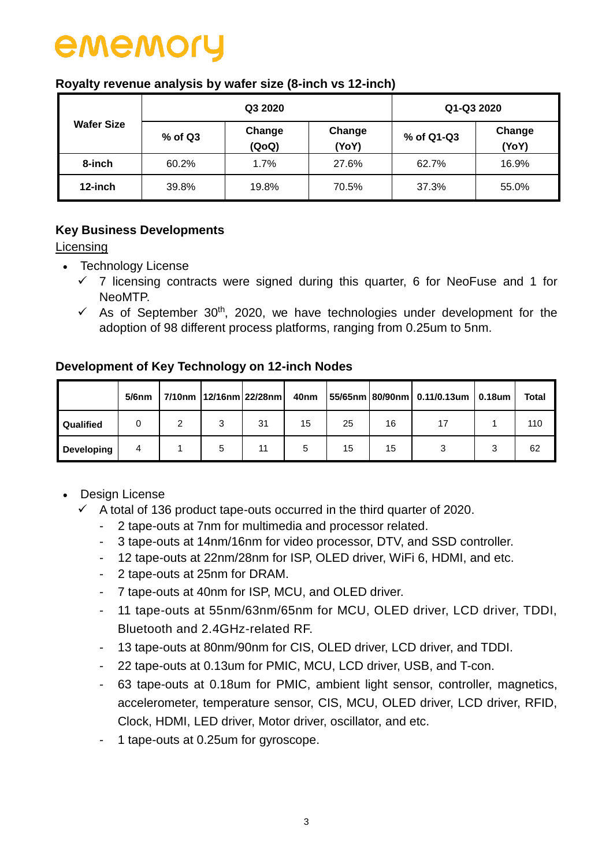|                   |         | Q3 2020         | Q1-Q3 2020      |            |                 |  |
|-------------------|---------|-----------------|-----------------|------------|-----------------|--|
| <b>Wafer Size</b> | % of Q3 | Change<br>(QoQ) | Change<br>(YoY) | % of Q1-Q3 | Change<br>(YoY) |  |
| 8-inch            | 60.2%   | 1.7%            | 27.6%           | 62.7%      | 16.9%           |  |
| 12-inch           | 39.8%   | 19.8%           | 70.5%           | 37.3%      | 55.0%           |  |

#### **Royalty revenue analysis by wafer size (8-inch vs 12-inch)**

### **Key Business Developments**

Licensing

- Technology License
	- $\checkmark$  7 licensing contracts were signed during this quarter, 6 for NeoFuse and 1 for NeoMTP.
	- $\checkmark$  As of September 30<sup>th</sup>, 2020, we have technologies under development for the adoption of 98 different process platforms, ranging from 0.25um to 5nm.

#### **Development of Key Technology on 12-inch Nodes**

|                   | $5/6$ nm |   |   | 7/10nm   12/16nm   22/28nm | 40nm |    |    | 55/65nm 80/90nm 0.11/0.13um | 0.18um | Total |
|-------------------|----------|---|---|----------------------------|------|----|----|-----------------------------|--------|-------|
| Qualified         | 0        | ◠ | 3 | 31                         | 15   | 25 | 16 |                             |        | 110   |
| <b>Developing</b> |          |   | 5 |                            | 5    | 15 | 15 |                             |        | 62    |

- Design License
	- $\checkmark$  A total of 136 product tape-outs occurred in the third quarter of 2020.
		- 2 tape-outs at 7nm for multimedia and processor related.
		- 3 tape-outs at 14nm/16nm for video processor, DTV, and SSD controller.
		- 12 tape-outs at 22nm/28nm for ISP, OLED driver, WiFi 6, HDMI, and etc.
		- 2 tape-outs at 25nm for DRAM.
		- 7 tape-outs at 40nm for ISP, MCU, and OLED driver.
		- 11 tape-outs at 55nm/63nm/65nm for MCU, OLED driver, LCD driver, TDDI, Bluetooth and 2.4GHz-related RF.
		- 13 tape-outs at 80nm/90nm for CIS, OLED driver, LCD driver, and TDDI.
		- 22 tape-outs at 0.13um for PMIC, MCU, LCD driver, USB, and T-con.
		- 63 tape-outs at 0.18um for PMIC, ambient light sensor, controller, magnetics, accelerometer, temperature sensor, CIS, MCU, OLED driver, LCD driver, RFID, Clock, HDMI, LED driver, Motor driver, oscillator, and etc.
		- 1 tape-outs at 0.25um for gyroscope.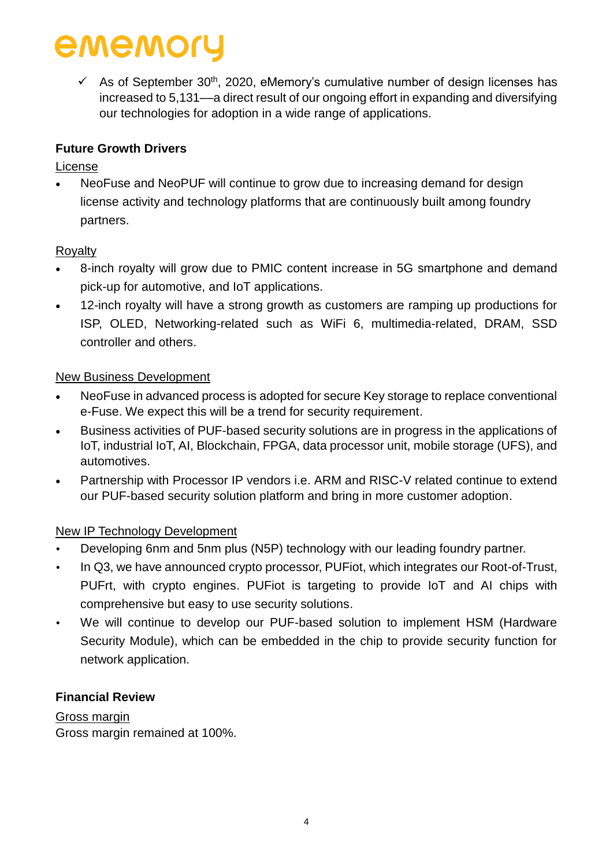$\checkmark$  As of September 30<sup>th</sup>, 2020, eMemory's cumulative number of design licenses has increased to 5,131––a direct result of our ongoing effort in expanding and diversifying our technologies for adoption in a wide range of applications.

### **Future Growth Drivers**

#### License

 NeoFuse and NeoPUF will continue to grow due to increasing demand for design license activity and technology platforms that are continuously built among foundry partners.

#### **Royalty**

- 8-inch royalty will grow due to PMIC content increase in 5G smartphone and demand pick-up for automotive, and IoT applications.
- 12-inch royalty will have a strong growth as customers are ramping up productions for ISP, OLED, Networking-related such as WiFi 6, multimedia-related, DRAM, SSD controller and others.

#### New Business Development

- NeoFuse in advanced process is adopted for secure Key storage to replace conventional e-Fuse. We expect this will be a trend for security requirement.
- Business activities of PUF-based security solutions are in progress in the applications of IoT, industrial IoT, AI, Blockchain, FPGA, data processor unit, mobile storage (UFS), and automotives.
- Partnership with Processor IP vendors i.e. ARM and RISC-V related continue to extend our PUF-based security solution platform and bring in more customer adoption.

### New IP Technology Development

- Developing 6nm and 5nm plus (N5P) technology with our leading foundry partner.
- In Q3, we have announced crypto processor, PUFiot, which integrates our Root-of-Trust, PUFrt, with crypto engines. PUFiot is targeting to provide IoT and AI chips with comprehensive but easy to use security solutions.
- We will continue to develop our PUF-based solution to implement HSM (Hardware Security Module), which can be embedded in the chip to provide security function for network application.

### **Financial Review**

Gross margin Gross margin remained at 100%.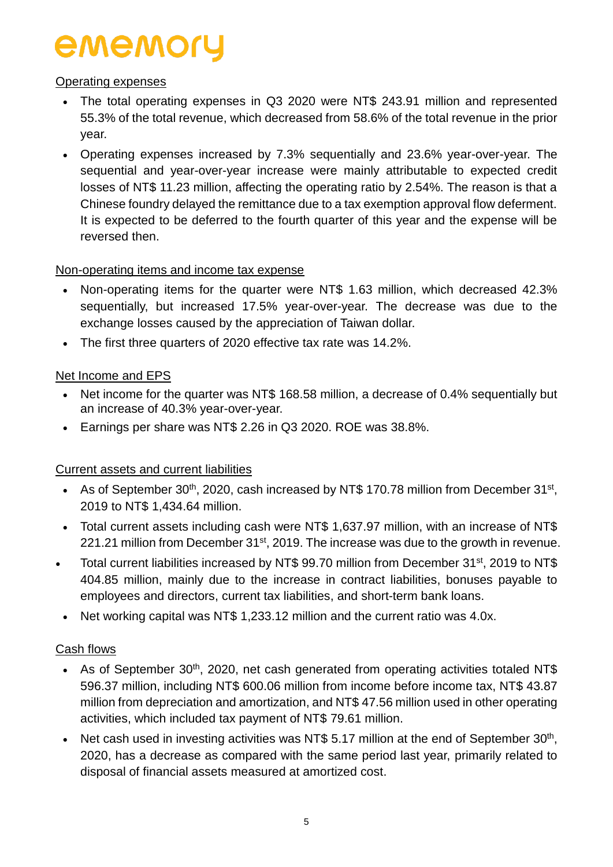#### Operating expenses

- The total operating expenses in Q3 2020 were NT\$ 243.91 million and represented 55.3% of the total revenue, which decreased from 58.6% of the total revenue in the prior year.
- Operating expenses increased by 7.3% sequentially and 23.6% year-over-year. The sequential and year-over-year increase were mainly attributable to expected credit losses of NT\$ 11.23 million, affecting the operating ratio by 2.54%. The reason is that a Chinese foundry delayed the remittance due to a tax exemption approval flow deferment. It is expected to be deferred to the fourth quarter of this year and the expense will be reversed then.

#### Non-operating items and income tax expense

- Non-operating items for the quarter were NT\$ 1.63 million, which decreased 42.3% sequentially, but increased 17.5% year-over-year. The decrease was due to the exchange losses caused by the appreciation of Taiwan dollar.
- The first three quarters of 2020 effective tax rate was 14.2%.

#### Net Income and EPS

- Net income for the quarter was NT\$ 168.58 million, a decrease of 0.4% sequentially but an increase of 40.3% year-over-year.
- Earnings per share was NT\$ 2.26 in Q3 2020. ROE was 38.8%.

#### Current assets and current liabilities

- As of September 30<sup>th</sup>, 2020, cash increased by NT\$ 170.78 million from December 31<sup>st</sup>, 2019 to NT\$ 1,434.64 million.
- Total current assets including cash were NT\$ 1,637.97 million, with an increase of NT\$ 221.21 million from December 31<sup>st</sup>, 2019. The increase was due to the growth in revenue.
- Total current liabilities increased by NT\$ 99.70 million from December 31<sup>st</sup>, 2019 to NT\$ 404.85 million, mainly due to the increase in contract liabilities, bonuses payable to employees and directors, current tax liabilities, and short-term bank loans.
- Net working capital was NT\$ 1,233.12 million and the current ratio was 4.0x.

### Cash flows

- As of September 30<sup>th</sup>, 2020, net cash generated from operating activities totaled NT\$ 596.37 million, including NT\$ 600.06 million from income before income tax, NT\$ 43.87 million from depreciation and amortization, and NT\$ 47.56 million used in other operating activities, which included tax payment of NT\$ 79.61 million.
- Net cash used in investing activities was NT\$ 5.17 million at the end of September  $30<sup>th</sup>$ , 2020, has a decrease as compared with the same period last year, primarily related to disposal of financial assets measured at amortized cost.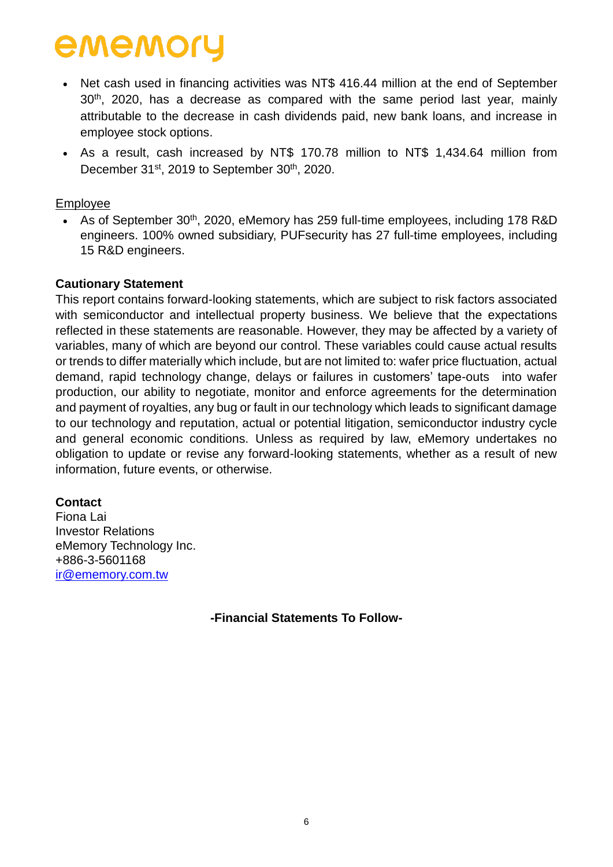- Net cash used in financing activities was NT\$ 416.44 million at the end of September 30<sup>th</sup>, 2020, has a decrease as compared with the same period last year, mainly attributable to the decrease in cash dividends paid, new bank loans, and increase in employee stock options.
- As a result, cash increased by NT\$ 170.78 million to NT\$ 1,434.64 million from December 31<sup>st</sup>, 2019 to September 30<sup>th</sup>, 2020.

#### Employee

• As of September 30<sup>th</sup>, 2020, eMemory has 259 full-time employees, including 178 R&D engineers. 100% owned subsidiary, PUFsecurity has 27 full-time employees, including 15 R&D engineers.

#### **Cautionary Statement**

This report contains forward-looking statements, which are subject to risk factors associated with semiconductor and intellectual property business. We believe that the expectations reflected in these statements are reasonable. However, they may be affected by a variety of variables, many of which are beyond our control. These variables could cause actual results or trends to differ materially which include, but are not limited to: wafer price fluctuation, actual demand, rapid technology change, delays or failures in customers' tape-outs into wafer production, our ability to negotiate, monitor and enforce agreements for the determination and payment of royalties, any bug or fault in our technology which leads to significant damage to our technology and reputation, actual or potential litigation, semiconductor industry cycle and general economic conditions. Unless as required by law, eMemory undertakes no obligation to update or revise any forward-looking statements, whether as a result of new information, future events, or otherwise.

#### **Contact**

Fiona Lai Investor Relations eMemory Technology Inc. +886-3-5601168 [ir@ememory.com.tw](mailto:ir@ememory.com.tw)

**-Financial Statements To Follow-**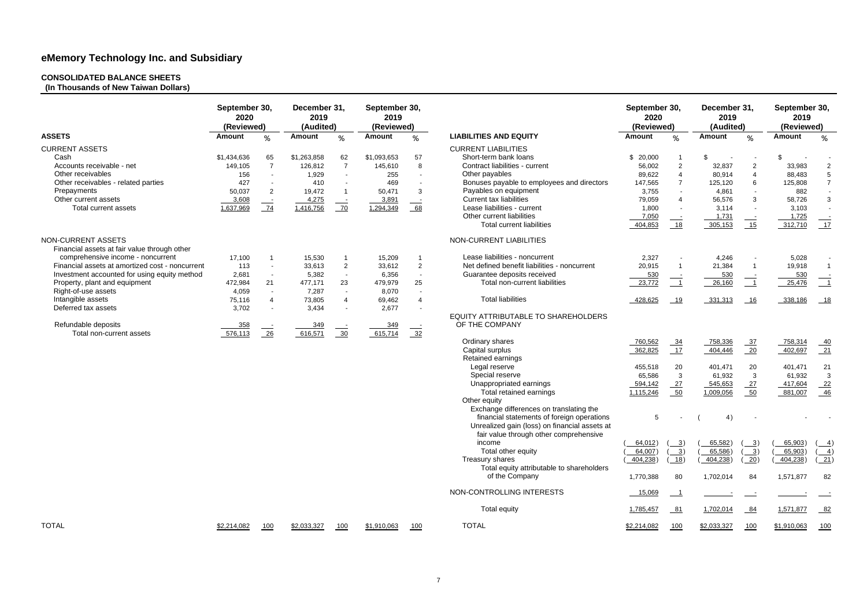#### **CONSOLIDATED BALANCE SHEETS**

**(In Thousands of New Taiwan Dollars)**

|                                                                           | September 30,<br>2020<br>(Reviewed) |                          | December 31,<br>2019<br>(Audited) |                          | September 30,<br>2019<br>(Reviewed) |                          |                                               | September 30,<br>2020<br>(Reviewed) |                | December 31,<br>2019<br>(Audited) |                        | September 30,<br>2019<br>(Reviewed) |                 |
|---------------------------------------------------------------------------|-------------------------------------|--------------------------|-----------------------------------|--------------------------|-------------------------------------|--------------------------|-----------------------------------------------|-------------------------------------|----------------|-----------------------------------|------------------------|-------------------------------------|-----------------|
| <b>ASSETS</b>                                                             | <b>Amount</b>                       | %                        | <b>Amount</b>                     | %                        | <b>Amount</b>                       | %                        | <b>LIABILITIES AND EQUITY</b>                 | Amount                              | %              | Amount                            | %                      | <b>Amount</b>                       | %               |
| <b>CURRENT ASSETS</b>                                                     |                                     |                          |                                   |                          |                                     |                          | <b>CURRENT LIABILITIES</b>                    |                                     |                |                                   |                        |                                     |                 |
| Cash                                                                      | \$1,434,636                         | 65                       | \$1,263,858                       | 62                       | \$1,093,653                         | 57                       | Short-term bank loans                         | \$<br>20,000                        |                | \$                                |                        | \$                                  |                 |
| Accounts receivable - net                                                 | 149,105                             | $\overline{7}$           | 126,812                           | $\overline{7}$           | 145,610                             | 8                        | Contract liabilities - current                | 56,002                              | 2              | 32,837                            | $\overline{2}$         | 33,983                              | $\overline{2}$  |
| Other receivables                                                         | 156                                 | $\sim$                   | 1,929                             | $\sim$                   | 255                                 | $\overline{\phantom{a}}$ | Other payables                                | 89,622                              | $\overline{4}$ | 80,914                            | $\boldsymbol{\Lambda}$ | 88,483                              | $\overline{5}$  |
| Other receivables - related parties                                       | 427                                 |                          | 410                               | $\sim$                   | 469                                 |                          | Bonuses payable to employees and directors    | 147,565                             | $\overline{7}$ | 125,120                           | 6                      | 125,808                             | $\overline{7}$  |
| Prepayments                                                               | 50,037                              | $\overline{2}$           | 19,472                            | $\overline{1}$           | 50,471                              | 3                        | Payables on equipment                         | 3,755                               |                | 4,861                             |                        | 882                                 |                 |
| Other current assets                                                      | 3,608                               |                          | 4,275                             | $\equiv$                 | 3,891                               |                          | <b>Current tax liabilities</b>                | 79,059                              | $\overline{4}$ | 56,576                            | 3                      | 58,726                              | $\mathbf{3}$    |
| Total current assets                                                      | 1,637,969                           | 74                       | 1,416,756                         | 70                       | 1,294,349                           | 68                       | Lease liabilities - current                   | 1,800                               | $\sim$         | 3,114                             |                        | 3,103                               |                 |
|                                                                           |                                     |                          |                                   |                          |                                     |                          | Other current liabilities                     | 7,050                               | $\equiv$       | 1,731                             | $\equiv$               | 1,725                               | $\sim$ $\sim$   |
|                                                                           |                                     |                          |                                   |                          |                                     |                          | <b>Total current liabilities</b>              | 404,853                             | 18             | 305,153                           | 15                     | 312,710                             | $-17$           |
| <b>NON-CURRENT ASSETS</b><br>Financial assets at fair value through other |                                     |                          |                                   |                          |                                     |                          | NON-CURRENT LIABILITIES                       |                                     |                |                                   |                        |                                     |                 |
| comprehensive income - noncurrent                                         | 17,100                              | $\overline{1}$           | 15,530                            |                          | 15,209                              |                          | Lease liabilities - noncurrent                | 2,327                               |                | 4,246                             |                        | 5,028                               |                 |
| Financial assets at amortized cost - noncurrent                           | 113                                 | $\sim$                   | 33,613                            | $\overline{2}$           | 33,612                              | $\overline{2}$           | Net defined benefit liabilities - noncurrent  | 20,915                              | $\overline{1}$ | 21,384                            |                        | 19,918                              |                 |
| Investment accounted for using equity method                              | 2,681                               | $\sim$                   | 5,382                             | $\sim$                   | 6,356                               | $\sim$                   | Guarantee deposits received                   | 530                                 |                | 530                               |                        | 530                                 |                 |
| Property, plant and equipment                                             | 472,984                             | 21                       | 477,171                           | 23                       | 479,979                             | 25                       | Total non-current liabilities                 | 23,772                              | $\overline{1}$ | 26,160                            | $\overline{1}$         | 25,476                              | $\overline{1}$  |
| Right-of-use assets                                                       | 4,059                               | $\sim$                   | 7,287                             | $\sim$                   | 8,070                               | $\overline{\phantom{a}}$ |                                               |                                     |                |                                   |                        |                                     |                 |
| Intangible assets                                                         | 75,116                              | $\overline{4}$           | 73,805                            | $\overline{4}$           | 69,462                              | $\overline{4}$           | <b>Total liabilities</b>                      | 428,625                             | 19             | 331,313                           | $-16$                  | 338,186                             | $-18$           |
| Deferred tax assets                                                       | 3,702                               | $\overline{\phantom{a}}$ | 3,434                             | $\overline{\phantom{a}}$ | 2,677                               | $\overline{\phantom{a}}$ |                                               |                                     |                |                                   |                        |                                     |                 |
|                                                                           |                                     |                          |                                   |                          |                                     |                          | EQUITY ATTRIBUTABLE TO SHAREHOLDERS           |                                     |                |                                   |                        |                                     |                 |
| Refundable deposits                                                       | 358                                 |                          | 349                               | $\overline{\phantom{0}}$ | 349                                 | $\sim$                   | OF THE COMPANY                                |                                     |                |                                   |                        |                                     |                 |
| Total non-current assets                                                  | 576,113                             | $\frac{26}{ }$           | 616,571                           | $\frac{30}{2}$           | 615,714                             | $-32$                    |                                               |                                     |                |                                   |                        |                                     |                 |
|                                                                           |                                     |                          |                                   |                          |                                     |                          | Ordinary shares                               | 760,562                             | $\frac{34}{1}$ | 758,336                           | $-37$                  | 758,314                             | $-40$           |
|                                                                           |                                     |                          |                                   |                          |                                     |                          | Capital surplus                               | 362,825                             | 17             | 404,446                           | 20                     | 402,697                             | $-21$           |
|                                                                           |                                     |                          |                                   |                          |                                     |                          | Retained earnings                             |                                     |                |                                   |                        |                                     |                 |
|                                                                           |                                     |                          |                                   |                          |                                     |                          | Legal reserve                                 | 455,518                             | 20             | 401,471                           | 20                     | 401,471                             | 21              |
|                                                                           |                                     |                          |                                   |                          |                                     |                          | Special reserve                               | 65,586                              | $\mathbf{3}$   | 61,932                            | $\mathbf{3}$           | 61,932                              | 3               |
|                                                                           |                                     |                          |                                   |                          |                                     |                          | Unappropriated earnings                       | 594,142                             | 27             | 545,653                           | 27                     | 417,604                             | $-22$           |
|                                                                           |                                     |                          |                                   |                          |                                     |                          | Total retained earnings                       | 1,115,246                           | 50             | 1,009,056                         | 50                     | 881,007                             | $-46$           |
|                                                                           |                                     |                          |                                   |                          |                                     |                          | Other equity                                  |                                     |                |                                   |                        |                                     |                 |
|                                                                           |                                     |                          |                                   |                          |                                     |                          | Exchange differences on translating the       |                                     |                |                                   |                        |                                     |                 |
|                                                                           |                                     |                          |                                   |                          |                                     |                          | financial statements of foreign operations    | 5                                   |                | 4)                                |                        |                                     |                 |
|                                                                           |                                     |                          |                                   |                          |                                     |                          | Unrealized gain (loss) on financial assets at |                                     |                |                                   |                        |                                     |                 |
|                                                                           |                                     |                          |                                   |                          |                                     |                          | fair value through other comprehensive        |                                     |                |                                   |                        |                                     |                 |
|                                                                           |                                     |                          |                                   |                          |                                     |                          | income                                        | 64,012)                             | $\frac{3}{2}$  | 65,582)                           | $\frac{3}{2}$          | 65,903)                             | $\frac{4}{2}$   |
|                                                                           |                                     |                          |                                   |                          |                                     |                          | Total other equity                            | $64,007$ )                          | $\frac{3}{2}$  | 65,586)                           | $\frac{3}{2}$          | 65,903)                             | $\overline{4})$ |
|                                                                           |                                     |                          |                                   |                          |                                     |                          | Treasury shares                               | 404,238)                            | 18)            | 404,238)                          | 20)                    | 404,238                             | 21)             |
|                                                                           |                                     |                          |                                   |                          |                                     |                          | Total equity attributable to shareholders     |                                     |                |                                   |                        |                                     |                 |
|                                                                           |                                     |                          |                                   |                          |                                     |                          | of the Company                                | 1,770,388                           | 80             | 1,702,014                         | 84                     | 1,571,877                           | 82              |
|                                                                           |                                     |                          |                                   |                          |                                     |                          | NON-CONTROLLING INTERESTS                     | 15,069                              | $\frac{1}{2}$  |                                   |                        |                                     |                 |
|                                                                           |                                     |                          |                                   |                          |                                     |                          | Total equity                                  | 1,785,457                           | $-81$          | 1,702,014                         | $-84$                  | 1,571,877                           | $-82$           |
| <b>TOTAL</b>                                                              | \$2,214,082                         | 100                      | \$2,033,327                       | 100                      | \$1,910,063                         | 100                      | <b>TOTAL</b>                                  | \$2,214,082                         | 100            | \$2,033,327                       | 100                    | <u>\$1,910,063</u>                  | 100             |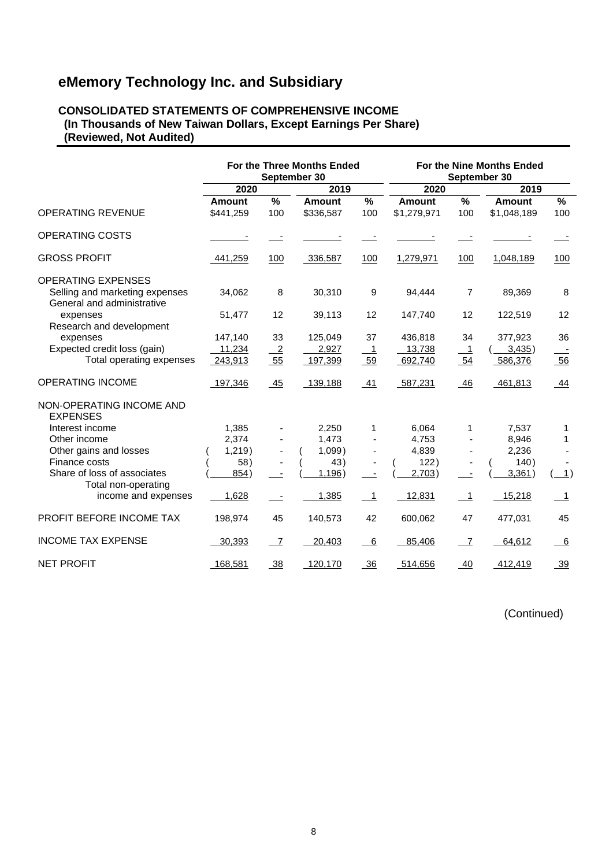#### **CONSOLIDATED STATEMENTS OF COMPREHENSIVE INCOME (In Thousands of New Taiwan Dollars, Except Earnings Per Share) (Reviewed, Not Audited)**

|                                                              |               |                | For the Three Months Ended<br>September 30 |                          |             | September 30             | For the Nine Months Ended |                                                  |
|--------------------------------------------------------------|---------------|----------------|--------------------------------------------|--------------------------|-------------|--------------------------|---------------------------|--------------------------------------------------|
|                                                              | 2020          |                | 2019                                       |                          | 2020        |                          | 2019                      |                                                  |
|                                                              | <b>Amount</b> | $\frac{0}{0}$  | Amount                                     | $\frac{9}{6}$            | Amount      | $\frac{9}{6}$            | <b>Amount</b>             | $\%$                                             |
| <b>OPERATING REVENUE</b>                                     | \$441,259     | 100            | \$336,587                                  | 100                      | \$1,279,971 | 100                      | \$1,048,189               | 100                                              |
| <b>OPERATING COSTS</b>                                       |               |                |                                            |                          |             |                          |                           |                                                  |
| <b>GROSS PROFIT</b>                                          | 441,259       | 100            | 336,587                                    | 100                      | 1,279,971   | 100                      | 1,048,189                 | 100                                              |
| <b>OPERATING EXPENSES</b>                                    |               |                |                                            |                          |             |                          |                           |                                                  |
| Selling and marketing expenses<br>General and administrative | 34,062        | 8              | 30,310                                     | 9                        | 94,444      | 7                        | 89,369                    | 8                                                |
| expenses<br>Research and development                         | 51,477        | 12             | 39,113                                     | 12                       | 147,740     | 12                       | 122,519                   | 12                                               |
| expenses                                                     | 147,140       | 33             | 125,049                                    | 37                       | 436,818     | 34                       | 377,923                   | 36                                               |
| Expected credit loss (gain)                                  | 11,234        | $\overline{2}$ | 2,927                                      | $\mathbf{1}$             | 13,738      | $\overline{1}$           | 3,435)                    |                                                  |
| Total operating expenses                                     | 243,913       | 55             | 197,399                                    | 59                       | 692,740     | 54                       | 586,376                   | 56                                               |
| OPERATING INCOME                                             | 197,346       | 45             | 139,188                                    | -41                      | 587,231     | 46                       | 461,813                   | 44                                               |
| NON-OPERATING INCOME AND<br><b>EXPENSES</b>                  |               |                |                                            |                          |             |                          |                           |                                                  |
| Interest income                                              | 1,385         |                | 2,250                                      | 1                        | 6,064       | 1                        | 7,537                     | 1                                                |
| Other income                                                 | 2,374         |                | 1,473                                      | ÷,                       | 4,753       |                          | 8,946                     | $\mathbf{1}$                                     |
| Other gains and losses                                       | 1,219)        |                | $1,099$ )                                  | $\overline{\phantom{0}}$ | 4,839       |                          | 2,236                     |                                                  |
| Finance costs                                                | 58)           |                | 43)                                        |                          | 122)        |                          | 140)                      |                                                  |
| Share of loss of associates                                  | 854)          |                | 1,196)                                     |                          | 2,703)      |                          | 3,361)                    | $\left( \begin{array}{c} -1 \end{array} \right)$ |
| Total non-operating                                          |               |                |                                            |                          |             |                          |                           |                                                  |
| income and expenses                                          | 1,628         |                | 1,385                                      | $\overline{1}$           | 12,831      | $\overline{\phantom{0}}$ | 15,218                    | $\overline{1}$                                   |
| PROFIT BEFORE INCOME TAX                                     | 198,974       | 45             | 140,573                                    | 42                       | 600,062     | 47                       | 477,031                   | 45                                               |
| <b>INCOME TAX EXPENSE</b>                                    | 30,393        | $\overline{7}$ | 20,403                                     | 6                        | 85,406      | $\overline{7}$           | 64,612                    | 6                                                |
| <b>NET PROFIT</b>                                            | 168,581       | 38             | 120,170                                    | 36                       | 514,656     | 40                       | 412,419                   | 39                                               |

(Continued)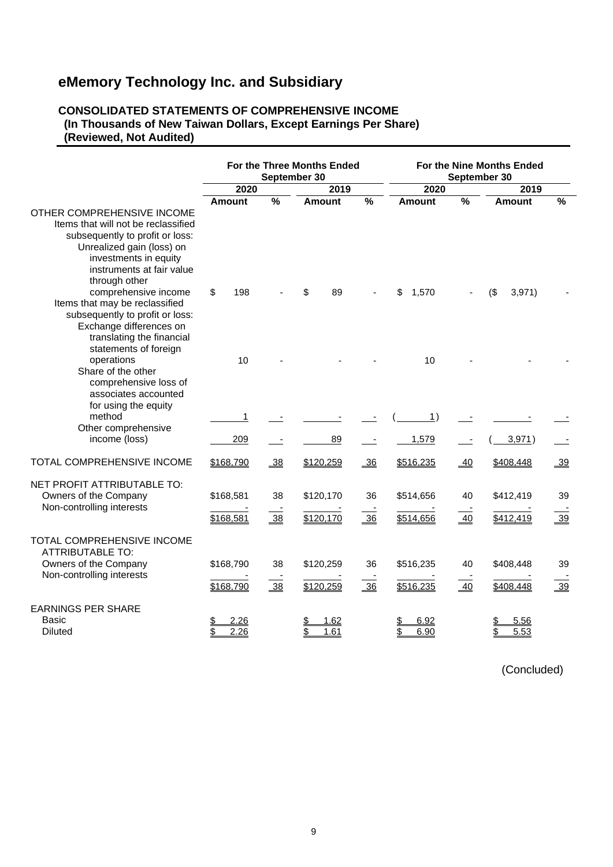#### **CONSOLIDATED STATEMENTS OF COMPREHENSIVE INCOME (In Thousands of New Taiwan Dollars, Except Earnings Per Share) (Reviewed, Not Audited)**

|                                                                                                                                                                                                 |                        |          | For the Three Months Ended<br>September 30 |                       |                        | September 30          | For the Nine Months Ended |                       |
|-------------------------------------------------------------------------------------------------------------------------------------------------------------------------------------------------|------------------------|----------|--------------------------------------------|-----------------------|------------------------|-----------------------|---------------------------|-----------------------|
|                                                                                                                                                                                                 | 2020                   |          | 2019                                       |                       | 2020                   |                       | 2019                      |                       |
| OTHER COMPREHENSIVE INCOME<br>Items that will not be reclassified<br>subsequently to profit or loss:<br>Unrealized gain (loss) on<br>investments in equity                                      | <b>Amount</b>          | $\%$     | <b>Amount</b>                              | $\frac{0}{0}$         | Amount                 | $\%$                  | <b>Amount</b>             | %                     |
| instruments at fair value<br>through other<br>comprehensive income<br>Items that may be reclassified<br>subsequently to profit or loss:<br>Exchange differences on<br>translating the financial | \$<br>198              |          | 89<br>\$                                   |                       | \$<br>1,570            |                       | $($ \$<br>3,971)          |                       |
| statements of foreign<br>operations<br>Share of the other<br>comprehensive loss of<br>associates accounted<br>for using the equity                                                              | 10                     |          |                                            |                       | 10                     |                       |                           |                       |
| method<br>Other comprehensive<br>income (loss)                                                                                                                                                  | 1<br>209               |          | 89                                         |                       | 1)<br>1,579            |                       | 3,971)                    |                       |
| TOTAL COMPREHENSIVE INCOME                                                                                                                                                                      | \$168,790              | 38       | \$120,259                                  | 36                    | \$516,235              | 40                    | \$408,448                 | 39                    |
| NET PROFIT ATTRIBUTABLE TO:<br>Owners of the Company<br>Non-controlling interests                                                                                                               | \$168,581<br>\$168,581 | 38<br>38 | \$120,170<br>\$120,170                     | 36<br>$\overline{36}$ | \$514,656<br>\$514,656 | 40<br>$\overline{40}$ | \$412,419<br>\$412,419    | 39<br>$\overline{39}$ |
| TOTAL COMPREHENSIVE INCOME<br><b>ATTRIBUTABLE TO:</b><br>Owners of the Company<br>Non-controlling interests                                                                                     | \$168,790<br>\$168,790 | 38<br>38 | \$120,259<br>\$120,259                     | 36<br>36              | \$516,235<br>\$516,235 | 40<br>40              | \$408,448<br>\$408,448    | 39<br>39              |
| <b>EARNINGS PER SHARE</b><br>Basic<br>Diluted                                                                                                                                                   | 2.26<br>2.26           |          | 1.62<br>1.61                               |                       | 6.92<br>\$<br>6.90     |                       | 5.56<br>5.53              |                       |

(Concluded)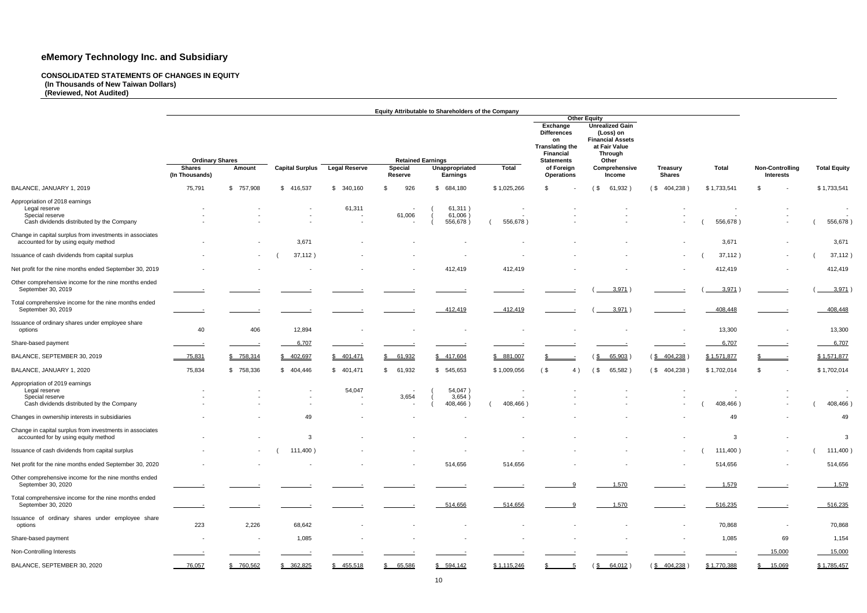#### **CONSOLIDATED STATEMENTS OF CHANGES IN EQUITY (In Thousands of New Taiwan Dollars) (Reviewed, Not Audited)**

|                                                                                                                 |                                 |           |                                              |                      |                           | Equity Attributable to Shareholders of the Company |                                                |                                                                                           |                                                                                                                          |                                  |              |                                            |                     |
|-----------------------------------------------------------------------------------------------------------------|---------------------------------|-----------|----------------------------------------------|----------------------|---------------------------|----------------------------------------------------|------------------------------------------------|-------------------------------------------------------------------------------------------|--------------------------------------------------------------------------------------------------------------------------|----------------------------------|--------------|--------------------------------------------|---------------------|
|                                                                                                                 |                                 |           |                                              |                      |                           |                                                    |                                                | <b>Exchange</b><br><b>Differences</b><br>on<br><b>Translating the</b><br><b>Financial</b> | <b>Other Equity</b><br><b>Unrealized Gain</b><br>(Loss) on<br><b>Financial Assets</b><br>at Fair Value<br><b>Through</b> |                                  |              |                                            |                     |
|                                                                                                                 | <b>Ordinary Shares</b>          |           |                                              |                      | <b>Retained Earnings</b>  |                                                    |                                                | <b>Statements</b>                                                                         | Other                                                                                                                    |                                  |              |                                            |                     |
|                                                                                                                 | <b>Shares</b><br>(In Thousands) | Amount    | <b>Capital Surplus</b>                       | <b>Legal Reserve</b> | <b>Special</b><br>Reserve | Unappropriated<br>Earnings                         | Total                                          | of Foreign<br><b>Operations</b>                                                           | Comprehensive<br>Income                                                                                                  | <b>Treasury</b><br><b>Shares</b> | <b>Total</b> | <b>Non-Controlling</b><br><b>Interests</b> | <b>Total Equity</b> |
| BALANCE, JANUARY 1, 2019                                                                                        | 75,791                          | \$757,908 | \$416,537                                    | 340,160<br>S.        | 926<br>\$                 | 684,180<br>S                                       | \$1,025,266                                    | \$                                                                                        | 61,932<br>(\$                                                                                                            | $(S$ 404,238                     | \$1,733,541  | \$                                         | \$1,733,541         |
| Appropriation of 2018 earnings<br>Legal reserve<br>Special reserve<br>Cash dividends distributed by the Company |                                 |           | $\overline{\phantom{a}}$<br>$\sim$           | 61,311               | 61,006                    | 61,311)<br>61,006<br>556,678                       | 556,678)                                       |                                                                                           |                                                                                                                          | $\sim$                           | 556,678)     |                                            | $\sim$<br>556,678)  |
| Change in capital surplus from investments in associates<br>accounted for by using equity method                |                                 |           | 3,671                                        |                      |                           |                                                    |                                                |                                                                                           |                                                                                                                          | $\overline{\phantom{a}}$         | 3,671        | $\sim$                                     | 3,671               |
| Issuance of cash dividends from capital surplus                                                                 |                                 | $\sim$    | 37,112)                                      |                      |                           |                                                    |                                                |                                                                                           |                                                                                                                          | $\sim$                           | 37,112)      | $\sim$                                     | 37,112              |
| Net profit for the nine months ended September 30, 2019                                                         |                                 |           |                                              |                      |                           | 412,419                                            | 412,419                                        |                                                                                           |                                                                                                                          |                                  | 412,419      |                                            | 412,419             |
| Other comprehensive income for the nine months ended<br>September 30, 2019                                      |                                 |           |                                              |                      |                           |                                                    |                                                |                                                                                           | 3,971                                                                                                                    |                                  | 3,971)       |                                            | 3,971               |
| Total comprehensive income for the nine months ended<br>September 30, 2019                                      |                                 |           |                                              |                      |                           | 412,419                                            | 412,419                                        |                                                                                           | 3,971)                                                                                                                   |                                  | 408,448      |                                            | 408,448             |
| Issuance of ordinary shares under employee share<br>options                                                     | 40                              | 406       | 12,894                                       |                      |                           |                                                    |                                                |                                                                                           |                                                                                                                          |                                  | 13,300       |                                            | 13,300              |
| Share-based payment                                                                                             |                                 |           | 6,707                                        | $\sim$               |                           |                                                    |                                                |                                                                                           |                                                                                                                          |                                  | 6,707        |                                            | 6,707               |
| BALANCE, SEPTEMBER 30, 2019                                                                                     | 75,831                          | \$758,314 | 402,697<br>\$                                | \$401,471            | 61,932<br>S.              | \$417,604                                          | \$ 881,007                                     |                                                                                           | 65,903<br>(\$                                                                                                            | $(\frac{$404,238}{)$             | \$1,571,877  | $\equiv$                                   | \$1,571,877         |
| BALANCE, JANUARY 1, 2020                                                                                        | 75,834                          | \$758,336 | \$404,446                                    | \$401,471            | 61,932<br>$\mathbb{S}$    | 545,653<br>S.                                      | \$1,009,056                                    | (\$<br>4)                                                                                 | 65,582<br>(\$                                                                                                            | (S 404, 238)                     | \$1,702,014  | \$<br>$\overline{\phantom{a}}$             | \$1,702,014         |
| Appropriation of 2019 earnings<br>Legal reserve<br>Special reserve<br>Cash dividends distributed by the Company |                                 |           | $\overline{\phantom{a}}$<br>$\sim$<br>$\sim$ | 54,047<br>$\sim$     | $\sim$<br>3,654<br>$\sim$ | 54,047)<br>3,654<br>408,466                        | $\overline{\phantom{a}}$<br>$\sim$<br>408,466) |                                                                                           |                                                                                                                          | $\sim$                           | 408,466)     | $\sim$                                     | 408,466             |
| Changes in ownership interests in subsidiaries                                                                  |                                 |           | 49                                           |                      |                           |                                                    |                                                |                                                                                           |                                                                                                                          |                                  | 49           |                                            | 49                  |
| Change in capital surplus from investments in associates<br>accounted for by using equity method                |                                 |           | 3                                            |                      |                           |                                                    |                                                |                                                                                           |                                                                                                                          |                                  | 3            |                                            | 3                   |
| Issuance of cash dividends from capital surplus                                                                 |                                 | $\sim$    | 111,400)                                     |                      |                           |                                                    | $\sim$                                         |                                                                                           |                                                                                                                          | $\sim 100$                       | 111,400)     | $\sim$                                     | 111,400)            |
| Net profit for the nine months ended September 30, 2020                                                         |                                 |           | $\overline{\phantom{a}}$                     |                      | $\sim$                    | 514,656                                            | 514,656                                        |                                                                                           |                                                                                                                          | $\sim$                           | 514,656      | $\sim$                                     | 514,656             |
| Other comprehensive income for the nine months ended<br>September 30, 2020                                      |                                 |           |                                              |                      |                           |                                                    |                                                |                                                                                           | 1,570                                                                                                                    |                                  | 1,579        |                                            | 1,579               |
| Total comprehensive income for the nine months ended<br>September 30, 2020                                      |                                 |           |                                              |                      | $\sim$                    | 514,656                                            | 514,656                                        |                                                                                           | 1,570                                                                                                                    | $\sim$                           | 516,235      | $\sim$ $-$                                 | 516,235             |
| Issuance of ordinary shares under employee share<br>options                                                     | 223                             | 2,226     | 68,642                                       |                      |                           | $\sim$                                             |                                                |                                                                                           |                                                                                                                          | $\sim$                           | 70,868       | $\sim$                                     | 70,868              |
| Share-based payment                                                                                             | $\sim$                          | $\sim$    | 1,085                                        |                      |                           | $\sim$                                             | $\blacksquare$                                 | $\sim$                                                                                    |                                                                                                                          | $\sim$                           | 1,085        | 69                                         | 1,154               |
| Non-Controlling Interests                                                                                       |                                 |           |                                              |                      |                           |                                                    |                                                |                                                                                           |                                                                                                                          |                                  |              | 15,000                                     | 15,000              |
| BALANCE, SEPTEMBER 30, 2020                                                                                     | 76,057                          | \$760,562 | \$ 362,825                                   | \$455,518            | \$65,586                  | \$ 594,142                                         | \$1,115,246                                    |                                                                                           | $(\frac{$}{8} 64,012)$                                                                                                   | $(\frac{$}{8}$ 404,238)          | \$1,770,388  | \$ 15,069                                  | \$1,785,457         |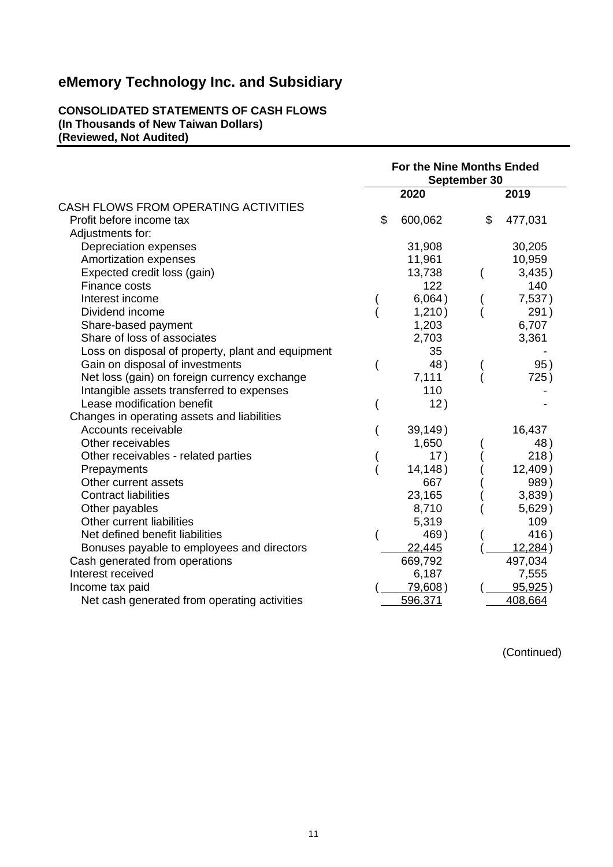**CONSOLIDATED STATEMENTS OF CASH FLOWS (In Thousands of New Taiwan Dollars) (Reviewed, Not Audited)**

|                                                   | <b>For the Nine Months Ended</b><br>September 30 |               |
|---------------------------------------------------|--------------------------------------------------|---------------|
|                                                   | 2020                                             | 2019          |
| CASH FLOWS FROM OPERATING ACTIVITIES              |                                                  |               |
| Profit before income tax                          | \$<br>600,062                                    | \$<br>477,031 |
| Adjustments for:                                  |                                                  |               |
| Depreciation expenses                             | 31,908                                           | 30,205        |
| Amortization expenses                             | 11,961                                           | 10,959        |
| Expected credit loss (gain)                       | 13,738                                           | 3,435)        |
| Finance costs                                     | 122                                              | 140           |
| Interest income                                   | 6,064)                                           | 7,537)        |
| Dividend income                                   | 1,210)                                           | 291)          |
| Share-based payment                               | 1,203                                            | 6,707         |
| Share of loss of associates                       | 2,703                                            | 3,361         |
| Loss on disposal of property, plant and equipment | 35                                               |               |
| Gain on disposal of investments                   | 48)                                              | 95)           |
| Net loss (gain) on foreign currency exchange      | 7,111                                            | 725)          |
| Intangible assets transferred to expenses         | 110                                              |               |
| Lease modification benefit                        | 12)                                              |               |
| Changes in operating assets and liabilities       |                                                  |               |
| Accounts receivable                               | 39,149)                                          | 16,437        |
| Other receivables                                 | 1,650                                            | 48)           |
| Other receivables - related parties               | 17)                                              | 218)          |
| Prepayments                                       | 14, 148)                                         | $12,409$ )    |
| Other current assets                              | 667                                              | 989)          |
| <b>Contract liabilities</b>                       | 23,165                                           | 3,839)        |
| Other payables                                    | 8,710                                            | 5,629)        |
| Other current liabilities                         | 5,319                                            | 109           |
| Net defined benefit liabilities                   | 469)                                             | 416)          |
| Bonuses payable to employees and directors        | 22,445                                           | 12,284)       |
| Cash generated from operations                    | 669,792                                          | 497,034       |
| Interest received                                 | 6,187                                            | 7,555         |
| Income tax paid                                   | 79,608)                                          | 95,925)       |
| Net cash generated from operating activities      | 596,371                                          | 408,664       |

(Continued)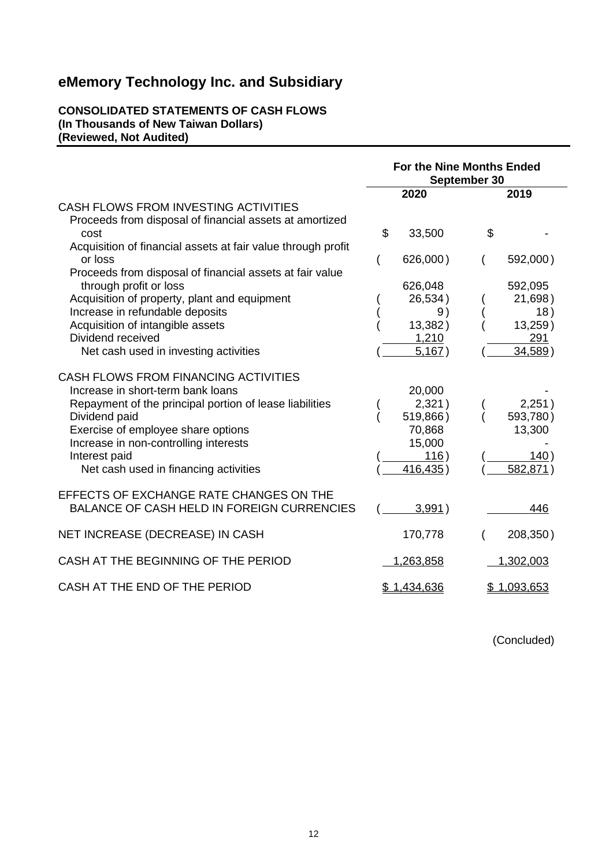#### **CONSOLIDATED STATEMENTS OF CASH FLOWS (In Thousands of New Taiwan Dollars) (Reviewed, Not Audited)**

|                                                                                                 | For the Nine Months Ended<br>September 30 |                  |    |             |  |
|-------------------------------------------------------------------------------------------------|-------------------------------------------|------------------|----|-------------|--|
|                                                                                                 | 2020                                      |                  |    | 2019        |  |
| CASH FLOWS FROM INVESTING ACTIVITIES<br>Proceeds from disposal of financial assets at amortized |                                           |                  |    |             |  |
| cost                                                                                            | \$                                        | 33,500           | \$ |             |  |
| Acquisition of financial assets at fair value through profit<br>or loss                         |                                           | 626,000)         |    | 592,000)    |  |
| Proceeds from disposal of financial assets at fair value<br>through profit or loss              |                                           | 626,048          |    | 592,095     |  |
| Acquisition of property, plant and equipment                                                    |                                           | 26,534)          |    | 21,698)     |  |
| Increase in refundable deposits                                                                 |                                           | 9)               |    | 18)         |  |
| Acquisition of intangible assets                                                                |                                           | 13,382)          |    | 13,259)     |  |
| Dividend received                                                                               |                                           | 1,210            |    | 291         |  |
| Net cash used in investing activities                                                           |                                           | 5,167)           |    | 34,589)     |  |
| CASH FLOWS FROM FINANCING ACTIVITIES                                                            |                                           |                  |    |             |  |
| Increase in short-term bank loans                                                               |                                           | 20,000           |    |             |  |
| Repayment of the principal portion of lease liabilities                                         |                                           | 2,321)           |    | 2,251)      |  |
| Dividend paid                                                                                   |                                           | 519,866)         |    | 593,780)    |  |
| Exercise of employee share options<br>Increase in non-controlling interests                     |                                           | 70,868<br>15,000 |    | 13,300      |  |
| Interest paid                                                                                   |                                           | 116)             |    | 140)        |  |
| Net cash used in financing activities                                                           |                                           | 416,435)         |    | 582,871)    |  |
| EFFECTS OF EXCHANGE RATE CHANGES ON THE                                                         |                                           |                  |    |             |  |
| <b>BALANCE OF CASH HELD IN FOREIGN CURRENCIES</b>                                               |                                           | 3,991)           |    | 446         |  |
| NET INCREASE (DECREASE) IN CASH                                                                 |                                           | 170,778          |    | 208,350)    |  |
| CASH AT THE BEGINNING OF THE PERIOD                                                             |                                           | 1,263,858        |    | 1,302,003   |  |
| CASH AT THE END OF THE PERIOD                                                                   |                                           | \$1,434,636      |    | \$1,093,653 |  |

(Concluded)